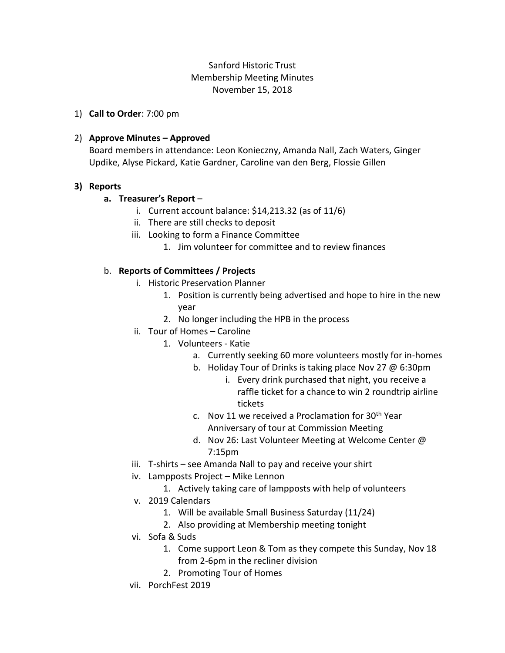# Sanford Historic Trust Membership Meeting Minutes November 15, 2018

1) **Call to Order**: 7:00 pm

## 2) **Approve Minutes – Approved**

Board members in attendance: Leon Konieczny, Amanda Nall, Zach Waters, Ginger Updike, Alyse Pickard, Katie Gardner, Caroline van den Berg, Flossie Gillen

### **3) Reports**

### **a. Treasurer's Report** –

- i. Current account balance: \$14,213.32 (as of 11/6)
- ii. There are still checks to deposit
- iii. Looking to form a Finance Committee
	- 1. Jim volunteer for committee and to review finances

### b. **Reports of Committees / Projects**

- i. Historic Preservation Planner
	- 1. Position is currently being advertised and hope to hire in the new year
	- 2. No longer including the HPB in the process
- ii. Tour of Homes Caroline
	- 1. Volunteers Katie
		- a. Currently seeking 60 more volunteers mostly for in-homes
		- b. Holiday Tour of Drinks is taking place Nov 27 @ 6:30pm
			- i. Every drink purchased that night, you receive a raffle ticket for a chance to win 2 roundtrip airline tickets
		- c. Nov 11 we received a Proclamation for 30<sup>th</sup> Year Anniversary of tour at Commission Meeting
		- d. Nov 26: Last Volunteer Meeting at Welcome Center @ 7:15pm
- iii. T-shirts see Amanda Nall to pay and receive your shirt
- iv. Lampposts Project Mike Lennon
	- 1. Actively taking care of lampposts with help of volunteers
- v. 2019 Calendars
	- 1. Will be available Small Business Saturday (11/24)
	- 2. Also providing at Membership meeting tonight
- vi. Sofa & Suds
	- 1. Come support Leon & Tom as they compete this Sunday, Nov 18 from 2-6pm in the recliner division
	- 2. Promoting Tour of Homes
- vii. PorchFest 2019